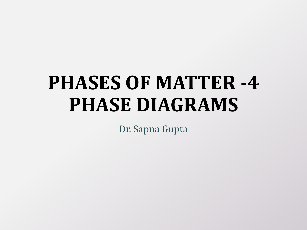# **PHASES OF MATTER -4 PHASE DIAGRAMS**

Dr. Sapna Gupta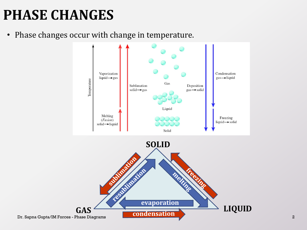#### **PHASE CHANGES**

• Phase changes occur with change in temperature.

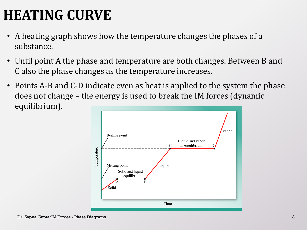### **HEATING CURVE**

- A heating graph shows how the temperature changes the phases of a substance.
- Until point A the phase and temperature are both changes. Between B and C also the phase changes as the temperature increases.
- Points A-B and C-D indicate even as heat is applied to the system the phase does not change – the energy is used to break the IM forces (dynamic equilibrium).

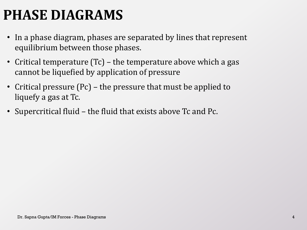#### **PHASE DIAGRAMS**

- In a phase diagram, phases are separated by lines that represent equilibrium between those phases.
- Critical temperature (Tc) the temperature above which a gas cannot be liquefied by application of pressure
- Critical pressure (Pc) the pressure that must be applied to liquefy a gas at Tc.
- Supercritical fluid the fluid that exists above Tc and Pc.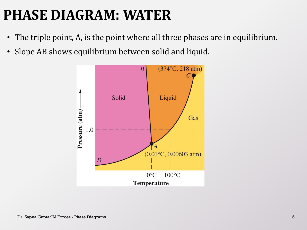#### **PHASE DIAGRAM: WATER**

- The triple point, A, is the point where all three phases are in equilibrium.
- Slope AB shows equilibrium between solid and liquid.

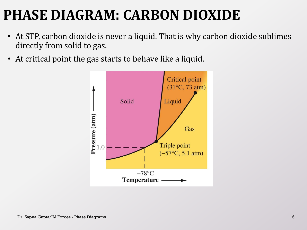#### **PHASE DIAGRAM: CARBON DIOXIDE**

- At STP, carbon dioxide is never a liquid. That is why carbon dioxide sublimes directly from solid to gas.
- At critical point the gas starts to behave like a liquid.

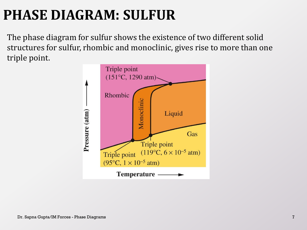## **PHASE DIAGRAM: SULFUR**

The phase diagram for sulfur shows the existence of two different solid structures for sulfur, rhombic and monoclinic, gives rise to more than one triple point.

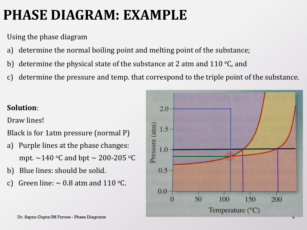#### **PHASE DIAGRAM: EXAMPLE**

Using the phase diagram

- a) determine the normal boiling point and melting point of the substance;
- b) determine the physical state of the substance at 2 atm and  $110$  °C, and
- c) determine the pressure and temp. that correspond to the triple point of the substance.

#### **Solution**:

Draw lines!

Black is for 1atm pressure (normal P)

- a) Purple lines at the phase changes: mpt.  $\sim$ 140 °C and bpt  $\sim$  200-205 °C
- b) Blue lines: should be solid.
- c) Green line:  $\sim 0.8$  atm and 110 °C.